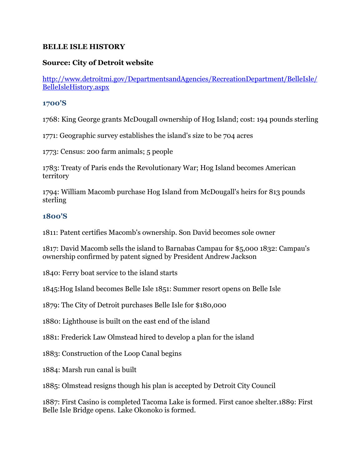### **BELLE ISLE HISTORY**

# **Source: City of Detroit website**

[http://www.detroitmi.gov/DepartmentsandAgencies/RecreationDepartment/BelleIsle/](http://www.detroitmi.gov/DepartmentsandAgencies/RecreationDepartment/BelleIsle/BelleIsleHistory.aspx) [BelleIsleHistory.aspx](http://www.detroitmi.gov/DepartmentsandAgencies/RecreationDepartment/BelleIsle/BelleIsleHistory.aspx)

#### **1700'S**

1768: King George grants McDougall ownership of Hog Island; cost: 194 pounds sterling

1771: Geographic survey establishes the island's size to be 704 acres

1773: Census: 200 farm animals; 5 people

1783: Treaty of Paris ends the Revolutionary War; Hog Island becomes American territory

1794: William Macomb purchase Hog Island from McDougall's heirs for 813 pounds sterling

## **1800'S**

1811: Patent certifies Macomb's ownership. Son David becomes sole owner

1817: David Macomb sells the island to Barnabas Campau for \$5,000 1832: Campau's ownership confirmed by patent signed by President Andrew Jackson

1840: Ferry boat service to the island starts

1845:Hog Island becomes Belle Isle 1851: Summer resort opens on Belle Isle

1879: The City of Detroit purchases Belle Isle for \$180,000

1880: Lighthouse is built on the east end of the island

1881: Frederick Law Olmstead hired to develop a plan for the island

1883: Construction of the Loop Canal begins

1884: Marsh run canal is built

1885: Olmstead resigns though his plan is accepted by Detroit City Council

1887: First Casino is completed Tacoma Lake is formed. First canoe shelter.1889: First Belle Isle Bridge opens. Lake Okonoko is formed.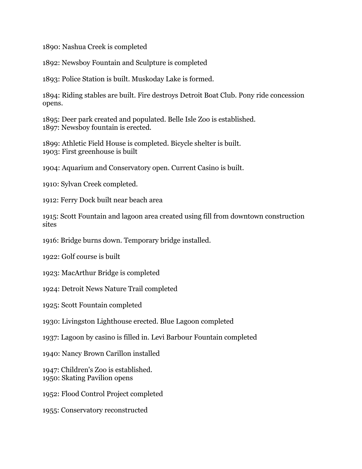1890: Nashua Creek is completed

1892: Newsboy Fountain and Sculpture is completed

1893: Police Station is built. Muskoday Lake is formed.

1894: Riding stables are built. Fire destroys Detroit Boat Club. Pony ride concession opens.

1895: Deer park created and populated. Belle Isle Zoo is established. 1897: Newsboy fountain is erected.

1899: Athletic Field House is completed. Bicycle shelter is built. 1903: First greenhouse is built

1904: Aquarium and Conservatory open. Current Casino is built.

1910: Sylvan Creek completed.

1912: Ferry Dock built near beach area

1915: Scott Fountain and lagoon area created using fill from downtown construction sites

1916: Bridge burns down. Temporary bridge installed.

1922: Golf course is built

1923: MacArthur Bridge is completed

1924: Detroit News Nature Trail completed

1925: Scott Fountain completed

1930: Livingston Lighthouse erected. Blue Lagoon completed

1937: Lagoon by casino is filled in. Levi Barbour Fountain completed

1940: Nancy Brown Carillon installed

1947: Children's Zoo is established. 1950: Skating Pavilion opens

1952: Flood Control Project completed

1955: Conservatory reconstructed